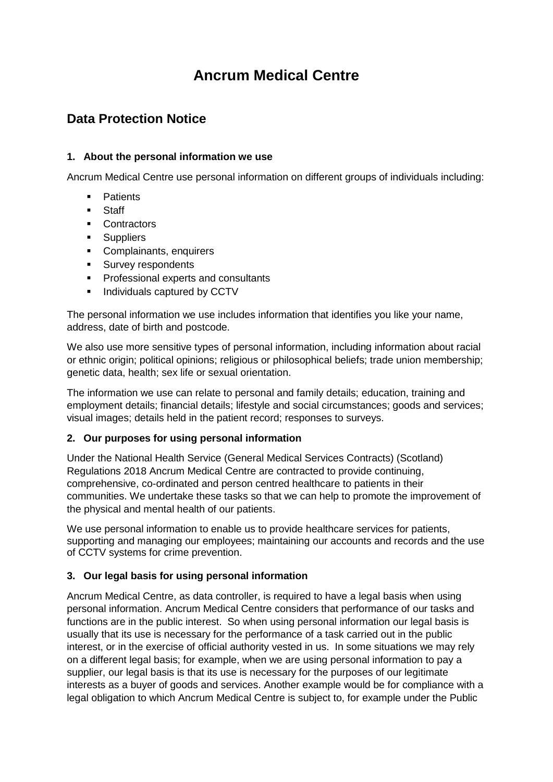# **Ancrum Medical Centre**

# **Data Protection Notice**

# **1. About the personal information we use**

Ancrum Medical Centre use personal information on different groups of individuals including:

- **Patients**
- **Staff**
- Contractors
- **Suppliers**
- Complainants, enquirers
- **Survey respondents**
- **Professional experts and consultants**
- **Individuals captured by CCTV**

The personal information we use includes information that identifies you like your name, address, date of birth and postcode.

We also use more sensitive types of personal information, including information about racial or ethnic origin; political opinions; religious or philosophical beliefs; trade union membership; genetic data, health; sex life or sexual orientation.

The information we use can relate to personal and family details; education, training and employment details; financial details; lifestyle and social circumstances; goods and services; visual images; details held in the patient record; responses to surveys.

# **2. Our purposes for using personal information**

Under the National Health Service (General Medical Services Contracts) (Scotland) Regulations 2018 Ancrum Medical Centre are contracted to provide continuing, comprehensive, co-ordinated and person centred healthcare to patients in their communities. We undertake these tasks so that we can help to promote the improvement of the physical and mental health of our patients.

We use personal information to enable us to provide healthcare services for patients, supporting and managing our employees; maintaining our accounts and records and the use of CCTV systems for crime prevention.

# **3. Our legal basis for using personal information**

Ancrum Medical Centre, as data controller, is required to have a legal basis when using personal information. Ancrum Medical Centre considers that performance of our tasks and functions are in the public interest. So when using personal information our legal basis is usually that its use is necessary for the performance of a task carried out in the public interest, or in the exercise of official authority vested in us. In some situations we may rely on a different legal basis; for example, when we are using personal information to pay a supplier, our legal basis is that its use is necessary for the purposes of our legitimate interests as a buyer of goods and services. Another example would be for compliance with a legal obligation to which Ancrum Medical Centre is subject to, for example under the Public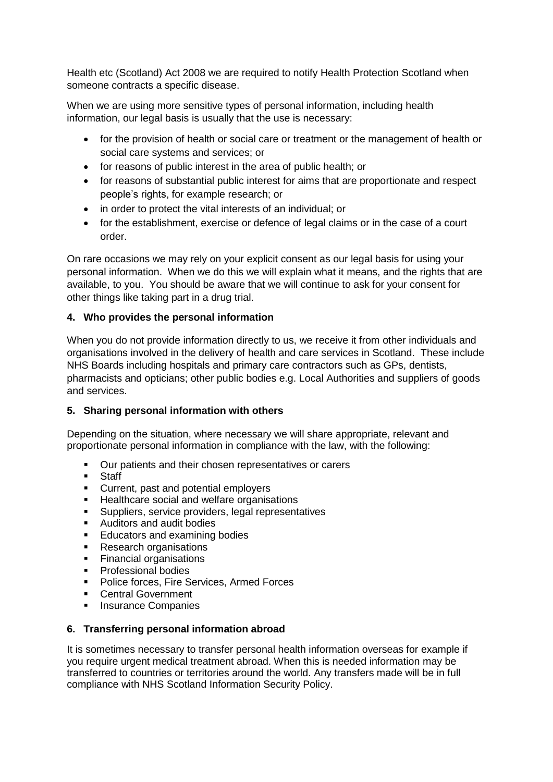Health etc (Scotland) Act 2008 we are required to notify Health Protection Scotland when someone contracts a specific disease.

When we are using more sensitive types of personal information, including health information, our legal basis is usually that the use is necessary:

- for the provision of health or social care or treatment or the management of health or social care systems and services; or
- for reasons of public interest in the area of public health; or
- for reasons of substantial public interest for aims that are proportionate and respect people's rights, for example research; or
- in order to protect the vital interests of an individual; or
- for the establishment, exercise or defence of legal claims or in the case of a court order.

On rare occasions we may rely on your explicit consent as our legal basis for using your personal information. When we do this we will explain what it means, and the rights that are available, to you. You should be aware that we will continue to ask for your consent for other things like taking part in a drug trial.

# **4. Who provides the personal information**

When you do not provide information directly to us, we receive it from other individuals and organisations involved in the delivery of health and care services in Scotland. These include NHS Boards including hospitals and primary care contractors such as GPs, dentists, pharmacists and opticians; other public bodies e.g. Local Authorities and suppliers of goods and services.

### **5. Sharing personal information with others**

Depending on the situation, where necessary we will share appropriate, relevant and proportionate personal information in compliance with the law, with the following:

- Our patients and their chosen representatives or carers
- **Staff**
- **Current, past and potential employers**
- **Healthcare social and welfare organisations**
- Suppliers, service providers, legal representatives
- Auditors and audit bodies
- **Educators and examining bodies**
- Research organisations
- Financial organisations
- **Professional bodies**
- **Police forces, Fire Services, Armed Forces**
- **Central Government**
- **Insurance Companies**

### **6. Transferring personal information abroad**

It is sometimes necessary to transfer personal health information overseas for example if you require urgent medical treatment abroad. When this is needed information may be transferred to countries or territories around the world. Any transfers made will be in full compliance with NHS Scotland Information Security Policy.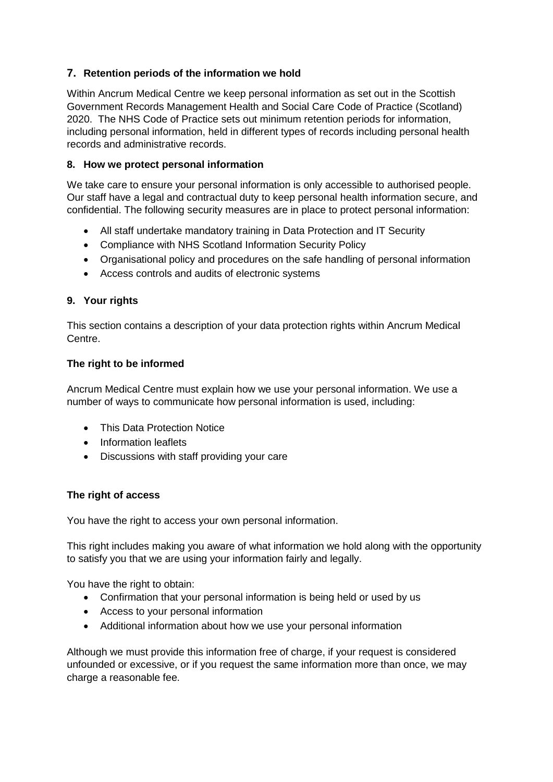# **7. Retention periods of the information we hold**

Within Ancrum Medical Centre we keep personal information as set out in the Scottish Government Records Management Health and Social Care Code of Practice (Scotland) 2020. The NHS Code of Practice sets out minimum retention periods for information, including personal information, held in different types of records including personal health records and administrative records.

# **8. How we protect personal information**

We take care to ensure your personal information is only accessible to authorised people. Our staff have a legal and contractual duty to keep personal health information secure, and confidential. The following security measures are in place to protect personal information:

- All staff undertake mandatory training in Data Protection and IT Security
- Compliance with NHS Scotland Information Security Policy
- Organisational policy and procedures on the safe handling of personal information
- Access controls and audits of electronic systems

# **9. Your rights**

This section contains a description of your data protection rights within Ancrum Medical Centre.

### **The right to be informed**

Ancrum Medical Centre must explain how we use your personal information. We use a number of ways to communicate how personal information is used, including:

- This Data Protection Notice
- Information leaflets
- Discussions with staff providing your care

### **The right of access**

You have the right to access your own personal information.

This right includes making you aware of what information we hold along with the opportunity to satisfy you that we are using your information fairly and legally.

You have the right to obtain:

- Confirmation that your personal information is being held or used by us
- Access to your personal information
- Additional information about how we use your personal information

Although we must provide this information free of charge, if your request is considered unfounded or excessive, or if you request the same information more than once, we may charge a reasonable fee.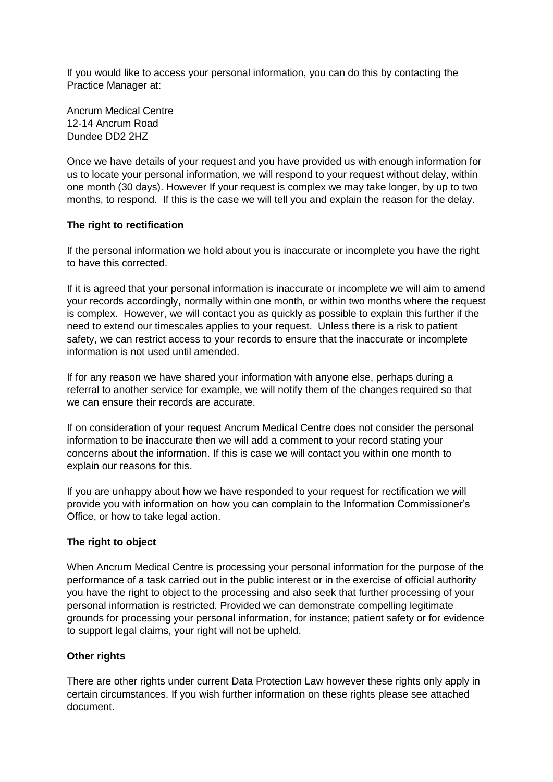If you would like to access your personal information, you can do this by contacting the Practice Manager at:

Ancrum Medical Centre 12-14 Ancrum Road Dundee DD2 2HZ

Once we have details of your request and you have provided us with enough information for us to locate your personal information, we will respond to your request without delay, within one month (30 days). However If your request is complex we may take longer, by up to two months, to respond. If this is the case we will tell you and explain the reason for the delay.

### **The right to rectification**

If the personal information we hold about you is inaccurate or incomplete you have the right to have this corrected.

If it is agreed that your personal information is inaccurate or incomplete we will aim to amend your records accordingly, normally within one month, or within two months where the request is complex. However, we will contact you as quickly as possible to explain this further if the need to extend our timescales applies to your request. Unless there is a risk to patient safety, we can restrict access to your records to ensure that the inaccurate or incomplete information is not used until amended.

If for any reason we have shared your information with anyone else, perhaps during a referral to another service for example, we will notify them of the changes required so that we can ensure their records are accurate.

If on consideration of your request Ancrum Medical Centre does not consider the personal information to be inaccurate then we will add a comment to your record stating your concerns about the information. If this is case we will contact you within one month to explain our reasons for this.

If you are unhappy about how we have responded to your request for rectification we will provide you with information on how you can complain to the Information Commissioner's Office, or how to take legal action.

### **The right to object**

When Ancrum Medical Centre is processing your personal information for the purpose of the performance of a task carried out in the public interest or in the exercise of official authority you have the right to object to the processing and also seek that further processing of your personal information is restricted. Provided we can demonstrate compelling legitimate grounds for processing your personal information, for instance; patient safety or for evidence to support legal claims, your right will not be upheld.

### **Other rights**

There are other rights under current Data Protection Law however these rights only apply in certain circumstances. If you wish further information on these rights please see attached document.